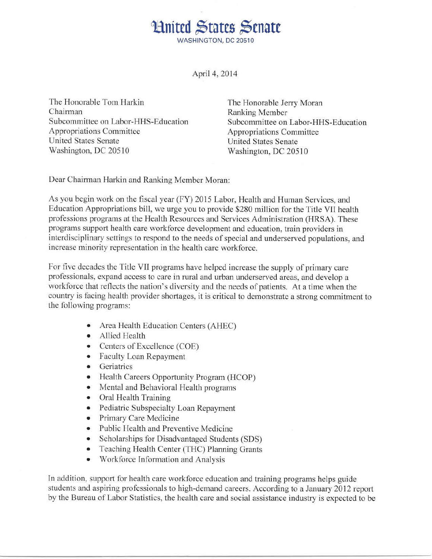**Hnited States Senate** WASHINGTON, DC 20510

April 4, 2014

The Honorable Tom Harkin Chairman Subcommittee on Labor-HHS-Education Appropriations Committee United States Senate Washington, DC 20510

The Honorable Jerry Moran Ranking Member Subcommittee on Labor-HHS-Education Appropriations Committee United States Senate Washington, DC 20510

Dear Chairman Harkin and Ranking Member Moran:

As you begin work on the fiscal year (FY) 2015 Labor, Health and Human Services, and Education Appropriations bill, we urge you to provide \$280 million for the Title VII health professions programs at the Health Resources and Services Administration (HRSA). These programs support health care workforce development and education, train providers in interdisciplinary settings to respond to the needs of special and underserved populations, and increase minority representation in the health care workforce.

For five decades the Title VII programs have helped increase the supply of primary care professionals, expand access to care in rural and urban underserved areas, and develop a workforce that reflects the nation's diversity and the needs of patients. At a time when the country is facing health provider shortages, it is critical to demonstrate a strong commitment to the following programs:

- Area Health Education Centers (AHEC)
- Allied Health
- Centers of Excellence (COE)
- Faculty Loan Repayment
- Geriatrics
- Health Careers Opportunity Program (HCOP)
- Mental and Behavioral Health programs
- Oral Health Training
- Pediatric Subspecialty Loan Repayment
- Primary Care Medicine
- Public Health and Preventive Medicine
- Scholarships for Disadvantaged Students (SDS)
- Teaching Health Center (THC) Planning Grants
- Workforce Information and Analysis

In addition, support for health care workforce education and training programs helps guide students and aspiring professionals to high-demand careers. According to a January 2012 report by the Bureau of Labor Statistics, the health care and social assistance industry is expected to be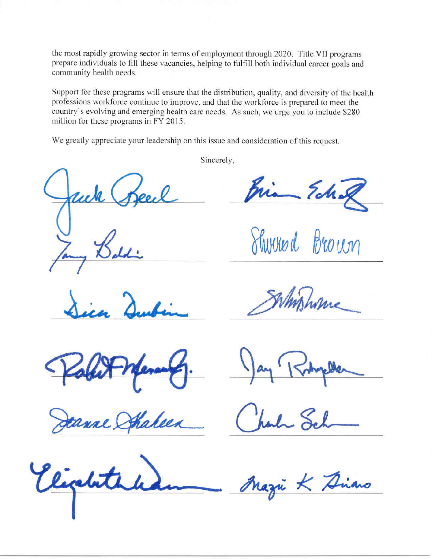the most rapidly growing sector in terms of employment through 2020. Title VII programs prepare individuals to fill these vacancies, helping to fulfill both individual career goals and community health needs.

Support for these programs will ensure that the distribution, quality, and diversity of the health professions workforce continue to improve, and that the workforce is prepared to meet the country's evolving and emerging health care needs. As such, we urge you to include \$280 million for these programs in FY 2015.

We greatly appreciate your leadership on this issue and consideration of this request.

Sincerely,

*I*

Shirred Brown

•

ahees

ligated

- Ariano